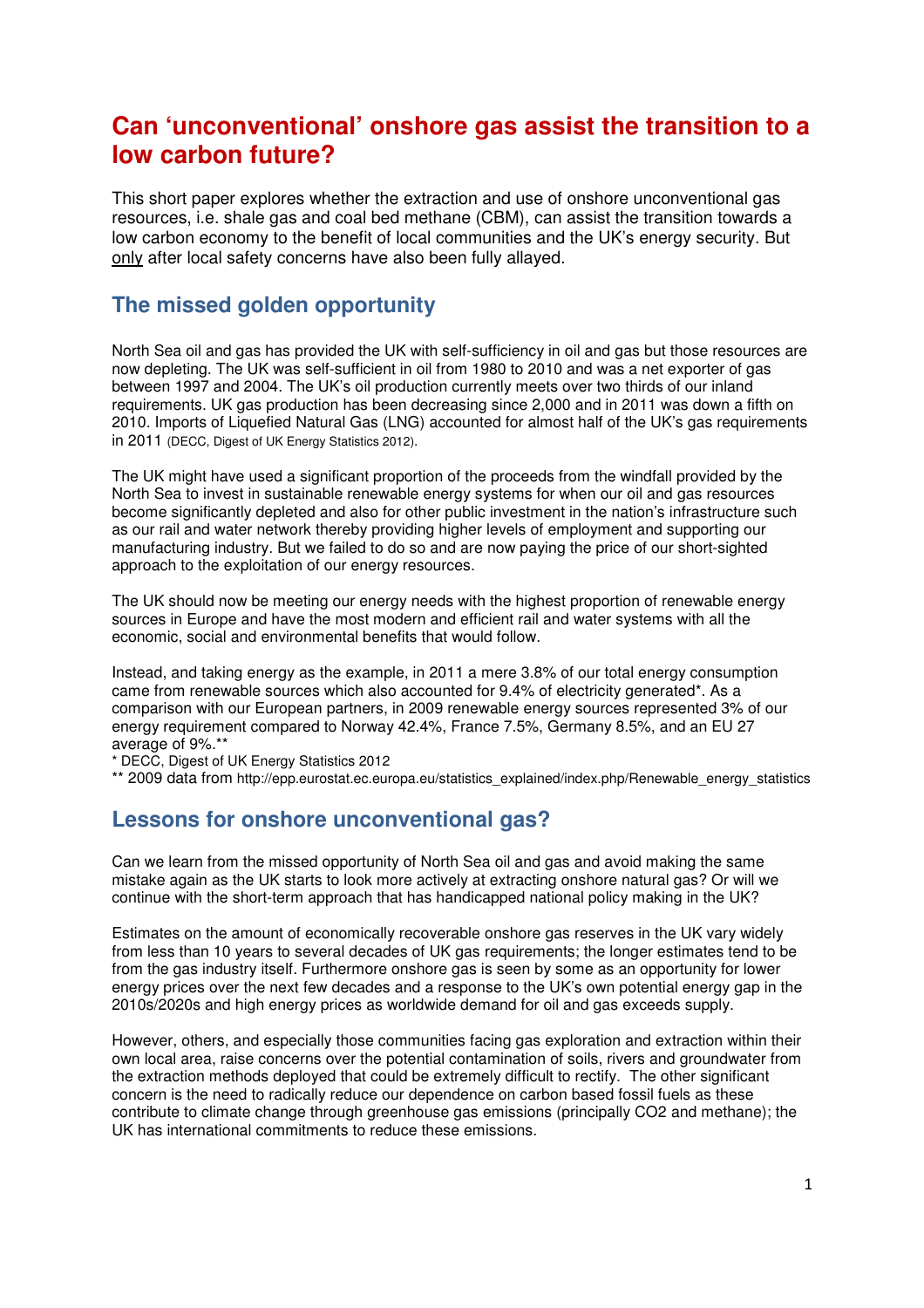# **Can 'unconventional' onshore gas assist the transition to a low carbon future?**

This short paper explores whether the extraction and use of onshore unconventional gas resources, i.e. shale gas and coal bed methane (CBM), can assist the transition towards a low carbon economy to the benefit of local communities and the UK's energy security. But only after local safety concerns have also been fully allayed.

## **The missed golden opportunity**

North Sea oil and gas has provided the UK with self-sufficiency in oil and gas but those resources are now depleting. The UK was self-sufficient in oil from 1980 to 2010 and was a net exporter of gas between 1997 and 2004. The UK's oil production currently meets over two thirds of our inland requirements. UK gas production has been decreasing since 2,000 and in 2011 was down a fifth on 2010. Imports of Liquefied Natural Gas (LNG) accounted for almost half of the UK's gas requirements in 2011 (DECC, Digest of UK Energy Statistics 2012).

The UK might have used a significant proportion of the proceeds from the windfall provided by the North Sea to invest in sustainable renewable energy systems for when our oil and gas resources become significantly depleted and also for other public investment in the nation's infrastructure such as our rail and water network thereby providing higher levels of employment and supporting our manufacturing industry. But we failed to do so and are now paying the price of our short-sighted approach to the exploitation of our energy resources.

The UK should now be meeting our energy needs with the highest proportion of renewable energy sources in Europe and have the most modern and efficient rail and water systems with all the economic, social and environmental benefits that would follow.

Instead, and taking energy as the example, in 2011 a mere 3.8% of our total energy consumption came from renewable sources which also accounted for 9.4% of electricity generated\*. As a comparison with our European partners, in 2009 renewable energy sources represented 3% of our energy requirement compared to Norway 42.4%, France 7.5%, Germany 8.5%, and an EU 27 average of 9%.\*\*

\* DECC, Digest of UK Energy Statistics 2012

\*\* 2009 data from http://epp.eurostat.ec.europa.eu/statistics\_explained/index.php/Renewable\_energy\_statistics

### **Lessons for onshore unconventional gas?**

Can we learn from the missed opportunity of North Sea oil and gas and avoid making the same mistake again as the UK starts to look more actively at extracting onshore natural gas? Or will we continue with the short-term approach that has handicapped national policy making in the UK?

Estimates on the amount of economically recoverable onshore gas reserves in the UK vary widely from less than 10 years to several decades of UK gas requirements; the longer estimates tend to be from the gas industry itself. Furthermore onshore gas is seen by some as an opportunity for lower energy prices over the next few decades and a response to the UK's own potential energy gap in the 2010s/2020s and high energy prices as worldwide demand for oil and gas exceeds supply.

However, others, and especially those communities facing gas exploration and extraction within their own local area, raise concerns over the potential contamination of soils, rivers and groundwater from the extraction methods deployed that could be extremely difficult to rectify. The other significant concern is the need to radically reduce our dependence on carbon based fossil fuels as these contribute to climate change through greenhouse gas emissions (principally CO2 and methane); the UK has international commitments to reduce these emissions.